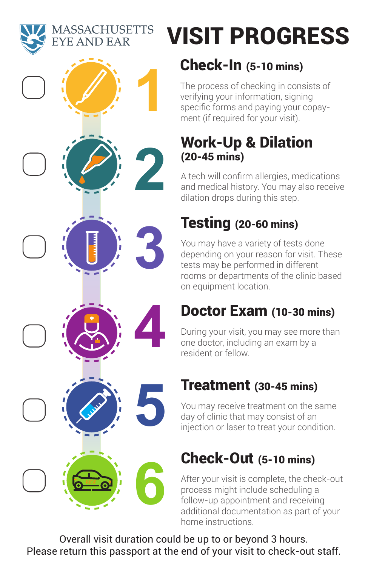**MASSACHUSETTS** YE AND EAR



# VISIT PROGRESS

### Check-In (5-10 mins)

The process of checking in consists of verifying your information, signing specific forms and paying your copayment (if required for your visit).

### Work-Up & Dilation (20-45 mins)

A tech will confirm allergies, medications and medical history. You may also receive dilation drops during this step.

### Testing (20-60 mins)

You may have a variety of tests done depending on your reason for visit. These tests may be performed in different rooms or departments of the clinic based on equipment location.

### Doctor Exam (10-30 mins)

During your visit, you may see more than one doctor, including an exam by a resident or fellow.

## Treatment (30-45 mins)

You may receive treatment on the same day of clinic that may consist of an injection or laser to treat your condition.

# Check-Out (5-10 mins)

After your visit is complete, the check-out process might include scheduling a follow-up appointment and receiving additional documentation as part of your home instructions.

Overall visit duration could be up to or beyond 3 hours. Please return this passport at the end of your visit to check-out staff.